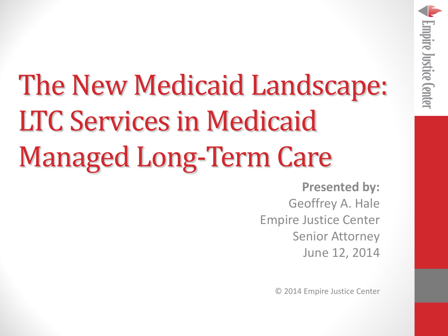The New Medicaid Landscape: LTC Services in Medicaid Managed Long-Term Care

> **Presented by:** Geoffrey A. Hale Empire Justice Center Senior Attorney June 12, 2014

**Empire Justice Center** 

© 2014 Empire Justice Center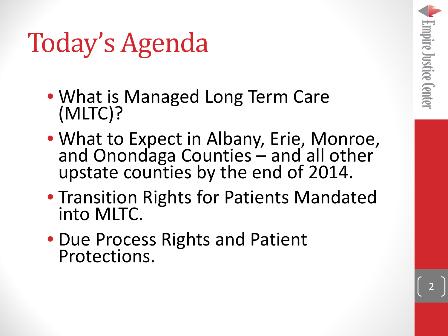### Today's Agenda

- What is Managed Long Term Care (MLTC)?
- What to Expect in Albany, Erie, Monroe, and Onondaga Counties and all other upstate counties by the end of 2014.
- Transition Rights for Patients Mandated into MLTC.
- Due Process Rights and Patient Protections.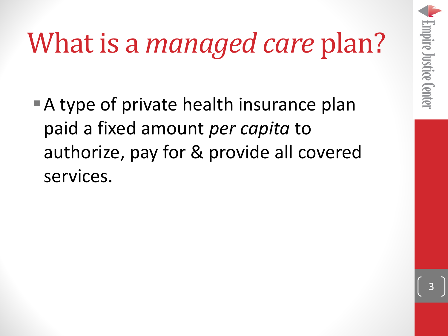# What is a *managed care* plan?

■ A type of private health insurance plan paid a fixed amount *per capita* to authorize, pay for & provide all covered services.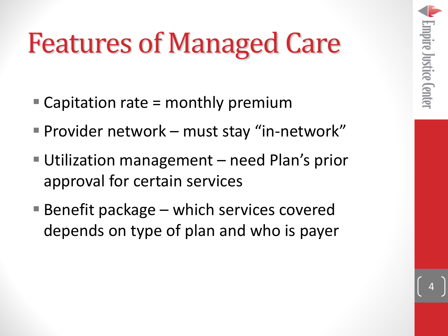### Features of Managed Care

- $\blacksquare$  Capitation rate = monthly premium
- Provider network must stay "in-network"
- Utilization management need Plan's prior approval for certain services
- Benefit package which services covered depends on type of plan and who is payer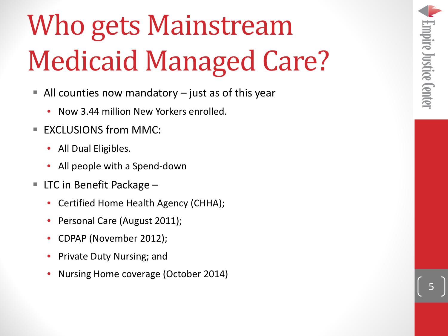## Who gets Mainstream Medicaid Managed Care?

- $\blacksquare$  All counties now mandatory  $-$  just as of this year
	- Now 3.44 million New Yorkers enrolled.
- EXCLUSIONS from MMC:
	- All Dual Eligibles.
	- All people with a Spend-down
- LTC in Benefit Package
	- Certified Home Health Agency (CHHA);
	- Personal Care (August 2011);
	- CDPAP (November 2012);
	- Private Duty Nursing; and
	- Nursing Home coverage (October 2014)

5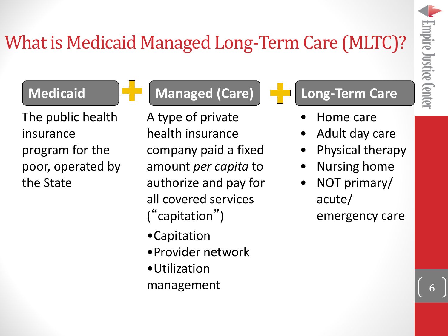6

#### What is Medicaid Managed Long-Term Care (MLTC)?



The public health insurance program for the poor, operated by the State

**Medicaid Managed (Care) Long-Term Care**

A type of private health insurance company paid a fixed amount *per capita* to authorize and pay for all covered services ("capitation")

- •Capitation
- •Provider network
- •Utilization management

- Home care
- Adult day care
- Physical therapy
- Nursing home
- NOT primary/ acute/

emergency care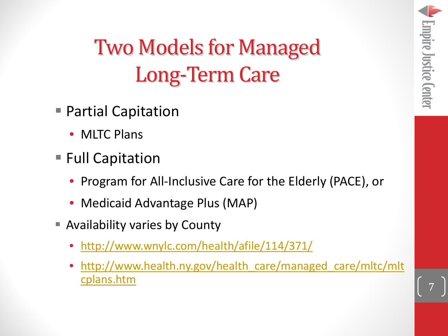#### Two Models for Managed Long-Term Care

- Partial Capitation
	- MLTC Plans
- Full Capitation
	- Program for All-Inclusive Care for the Elderly (PACE), or
	- Medicaid Advantage Plus (MAP)
- **E** Availability varies by County
	- <http://www.wnylc.com/health/afile/114/371/>
	- [http://www.health.ny.gov/health\\_care/managed\\_care/mltc/mlt](http://www.health.ny.gov/health_care/managed_care/mltc/mltcplans.htm) [cplans.htm](http://www.health.ny.gov/health_care/managed_care/mltc/mltcplans.htm)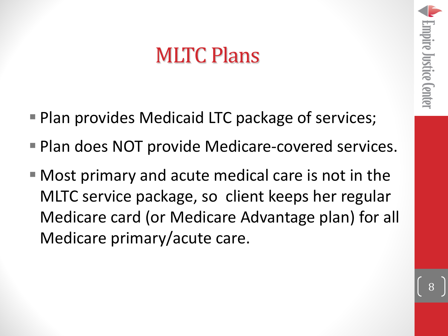#### MLTC Plans

- Plan provides Medicaid LTC package of services;
- Plan does NOT provide Medicare-covered services.
- Most primary and acute medical care is not in the MLTC service package, so client keeps her regular Medicare card (or Medicare Advantage plan) for all Medicare primary/acute care.

Empire Justice Center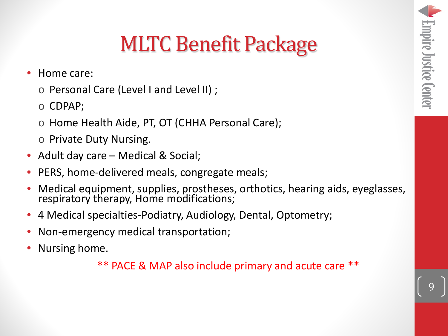#### MLTC Benefit Package

- Home care:
	- o Personal Care (Level I and Level II) ;
	- o CDPAP;
	- o Home Health Aide, PT, OT (CHHA Personal Care);
	- o Private Duty Nursing.
- Adult day care Medical & Social;
- PERS, home-delivered meals, congregate meals;
- Medical equipment, supplies, prostheses, orthotics, hearing aids, eyeglasses, respiratory therapy, Home modifications;
- 4 Medical specialties-Podiatry, Audiology, Dental, Optometry;
- Non-emergency medical transportation;
- Nursing home.

\*\* PACE & MAP also include primary and acute care \*\*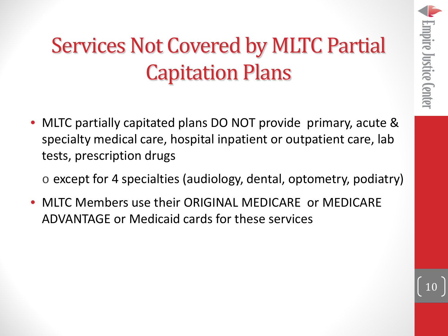#### Services Not Covered by MLTC Partial Capitation Plans

- MLTC partially capitated plans DO NOT provide primary, acute & specialty medical care, hospital inpatient or outpatient care, lab tests, prescription drugs
	- o except for 4 specialties (audiology, dental, optometry, podiatry)
- MLTC Members use their ORIGINAL MEDICARE or MEDICARE ADVANTAGE or Medicaid cards for these services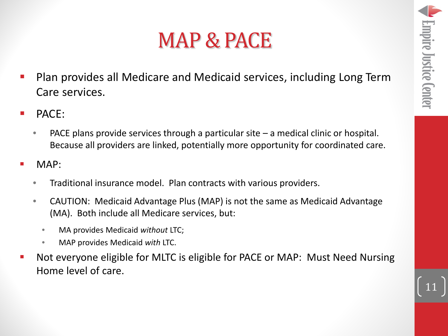11

#### MAP & PACE

- Plan provides all Medicare and Medicaid services, including Long Term Care services.
- PACE:
	- PACE plans provide services through a particular site  $-$  a medical clinic or hospital. Because all providers are linked, potentially more opportunity for coordinated care.
- MAP:
	- Traditional insurance model. Plan contracts with various providers.
	- CAUTION: Medicaid Advantage Plus (MAP) is not the same as Medicaid Advantage (MA). Both include all Medicare services, but:
		- MA provides Medicaid *without* LTC;
		- MAP provides Medicaid *with* LTC.
- Not everyone eligible for MLTC is eligible for PACE or MAP: Must Need Nursing Home level of care.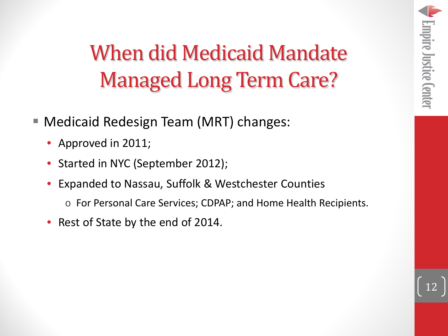#### When did Medicaid Mandate Managed Long Term Care?

- Medicaid Redesign Team (MRT) changes:
	- Approved in 2011;
	- Started in NYC (September 2012);
	- Expanded to Nassau, Suffolk & Westchester Counties
		- o For Personal Care Services; CDPAP; and Home Health Recipients.
	- Rest of State by the end of 2014.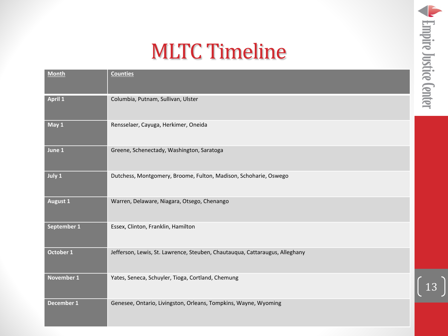#### MLTC Timeline

| <b>Month</b>    | <b>Counties</b>                                                             |
|-----------------|-----------------------------------------------------------------------------|
| <b>April 1</b>  | Columbia, Putnam, Sullivan, Ulster                                          |
| May 1           | Rensselaer, Cayuga, Herkimer, Oneida                                        |
| June 1          | Greene, Schenectady, Washington, Saratoga                                   |
| July 1          | Dutchess, Montgomery, Broome, Fulton, Madison, Schoharie, Oswego            |
| <b>August 1</b> | Warren, Delaware, Niagara, Otsego, Chenango                                 |
| September 1     | Essex, Clinton, Franklin, Hamilton                                          |
| October 1       | Jefferson, Lewis, St. Lawrence, Steuben, Chautauqua, Cattaraugus, Alleghany |
| November 1      | Yates, Seneca, Schuyler, Tioga, Cortland, Chemung                           |
| December 1      | Genesee, Ontario, Livingston, Orleans, Tompkins, Wayne, Wyoming             |

13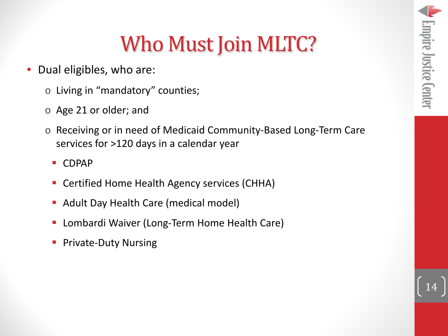#### Who Must Join MLTC?

- Dual eligibles, who are:
	- o Living in "mandatory" counties;
	- o Age 21 or older; and
	- o Receiving or in need of Medicaid Community-Based Long-Term Care services for >120 days in a calendar year
		- CDPAP
		- **Certified Home Health Agency services (CHHA)**
		- **Adult Day Health Care (medical model)**
		- Lombardi Waiver (Long-Term Home Health Care)
		- Private-Duty Nursing

14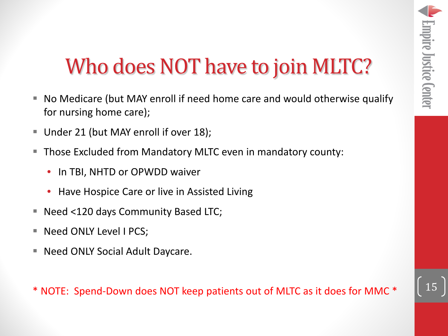#### Who does NOT have to join MLTC?

- No Medicare (but MAY enroll if need home care and would otherwise qualify for nursing home care);
- Under 21 (but MAY enroll if over 18);
- Those Excluded from Mandatory MLTC even in mandatory county:
	- In TBI, NHTD or OPWDD waiver
	- Have Hospice Care or live in Assisted Living
- Need <120 days Community Based LTC;
- Need ONLY Level I PCS;
- Need ONLY Social Adult Daycare.

\* NOTE: Spend-Down does NOT keep patients out of MLTC as it does for MMC \*

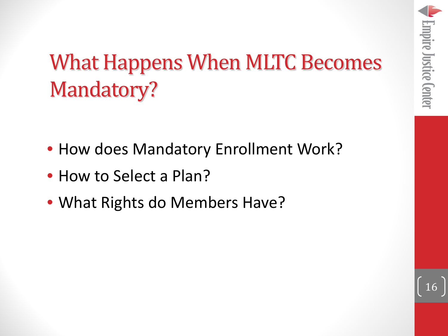16

### What Happens When MLTC Becomes Mandatory?

- How does Mandatory Enrollment Work?
- How to Select a Plan?
- What Rights do Members Have?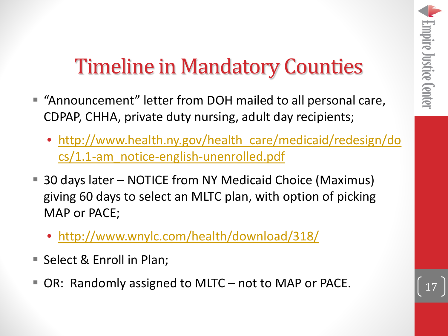#### Timeline in Mandatory Counties

- "Announcement" letter from DOH mailed to all personal care, CDPAP, CHHA, private duty nursing, adult day recipients;
	- [http://www.health.ny.gov/health\\_care/medicaid/redesign/do](http://www.health.ny.gov/health_care/medicaid/redesign/docs/1.1-am_notice-english-unenrolled.pdf) [cs/1.1-am\\_notice-english-unenrolled.pdf](http://www.health.ny.gov/health_care/medicaid/redesign/docs/1.1-am_notice-english-unenrolled.pdf)
- 30 days later NOTICE from NY Medicaid Choice (Maximus) giving 60 days to select an MLTC plan, with option of picking MAP or PACE;
	- <http://www.wnylc.com/health/download/318/>
- Select & Enroll in Plan;
- OR: Randomly assigned to MLTC not to MAP or PACE.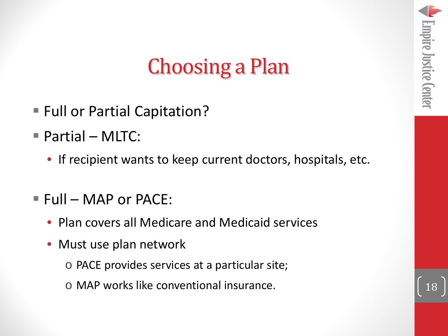#### Choosing a Plan

- **Full or Partial Capitation?**
- Partial MLTC:
	- If recipient wants to keep current doctors, hospitals, etc.
- $Full MAP$  or PACE:
	- Plan covers all Medicare and Medicaid services
	- Must use plan network
		- o PACE provides services at a particular site;
		- o MAP works like conventional insurance.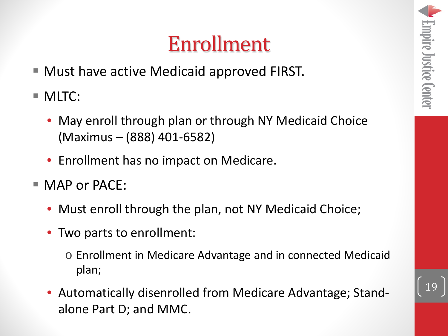#### Enrollment

- Must have active Medicaid approved FIRST.
- **MLTC:** 
	- May enroll through plan or through NY Medicaid Choice (Maximus – (888) 401-6582)
	- Enrollment has no impact on Medicare.
- **NAP or PACE:** 
	- Must enroll through the plan, not NY Medicaid Choice;
	- Two parts to enrollment:
		- o Enrollment in Medicare Advantage and in connected Medicaid plan;
	- Automatically disenrolled from Medicare Advantage; Standalone Part D; and MMC.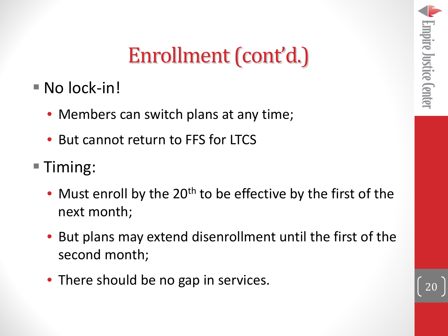#### Enrollment (cont'd.)

- No lock-in!
	- Members can switch plans at any time;
	- But cannot return to FFS for LTCS
- Timing:
	- Must enroll by the  $20<sup>th</sup>$  to be effective by the first of the next month;
	- But plans may extend disenrollment until the first of the second month;
	- There should be no gap in services.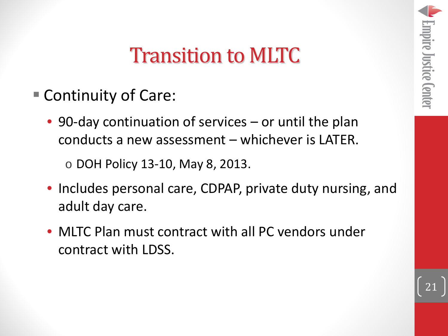#### Transition to MLTC

- Continuity of Care:
	- 90-day continuation of services or until the plan conducts a new assessment – whichever is LATER.

o DOH Policy 13-10, May 8, 2013.

- Includes personal care, CDPAP, private duty nursing, and adult day care.
- MLTC Plan must contract with all PC vendors under contract with LDSS.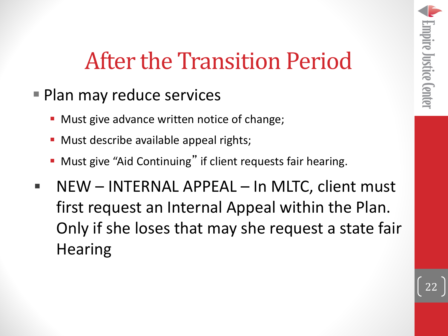### After the Transition Period

- Plan may reduce services
	- **Must give advance written notice of change;**
	- Must describe available appeal rights;
	- Must give "Aid Continuing" if client requests fair hearing.
- NEW INTERNAL APPEAL In MLTC, client must first request an Internal Appeal within the Plan. Only if she loses that may she request a state fair **Hearing**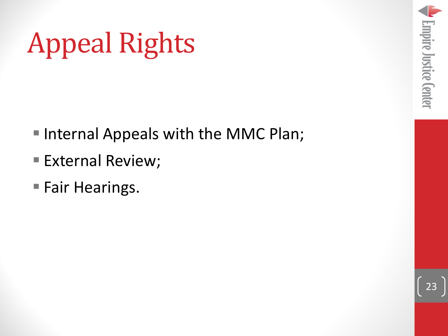### Appeal Rights

- Internal Appeals with the MMC Plan;
- **External Review;**
- **Fair Hearings.**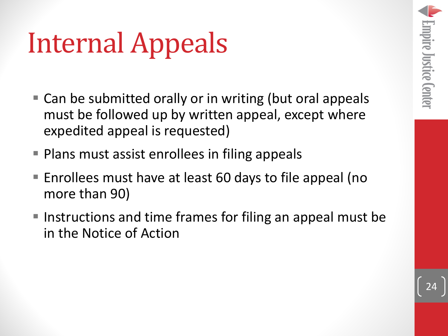# Internal Appeals

- Can be submitted orally or in writing (but oral appeals must be followed up by written appeal, except where expedited appeal is requested)
- **Plans must assist enrollees in filing appeals**
- Enrollees must have at least 60 days to file appeal (no more than 90)
- Instructions and time frames for filing an appeal must be in the Notice of Action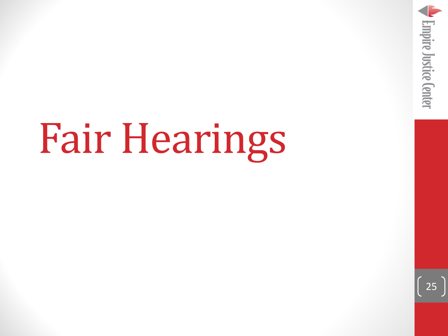

# Fair Hearings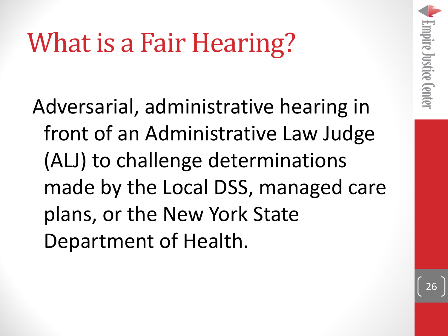### What is a Fair Hearing?

Adversarial, administrative hearing in front of an Administrative Law Judge (ALJ) to challenge determinations made by the Local DSS, managed care plans, or the New York State Department of Health.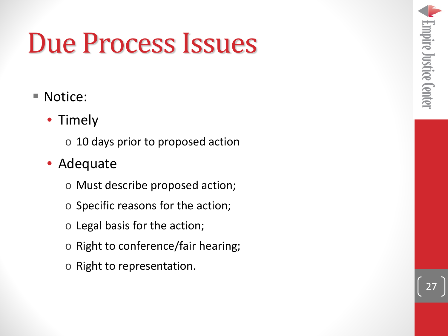### Due Process Issues

#### ■ Notice:

- Timely
	- o 10 days prior to proposed action
- Adequate
	- o Must describe proposed action;
	- o Specific reasons for the action;
	- o Legal basis for the action;
	- o Right to conference/fair hearing;
	- o Right to representation.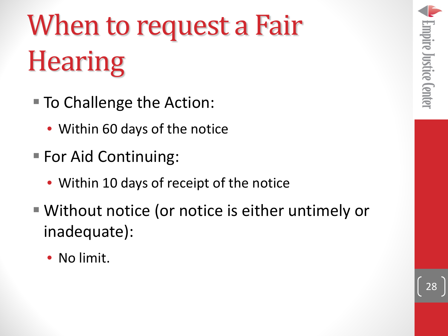# When to request a Fair **Hearing**

- To Challenge the Action:
	- Within 60 days of the notice
- **For Aid Continuing:** 
	- Within 10 days of receipt of the notice
- Without notice (or notice is either untimely or inadequate):
	- No limit.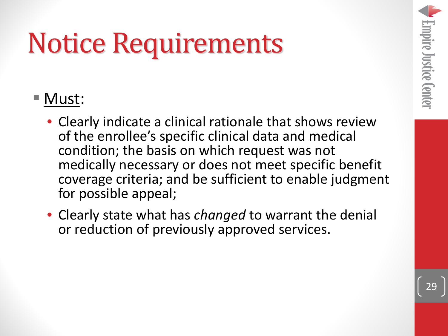### Notice Requirements

#### Must:

- Clearly indicate a clinical rationale that shows review of the enrollee's specific clinical data and medical condition; the basis on which request was not medically necessary or does not meet specific benefit coverage criteria; and be sufficient to enable judgment for possible appeal;
- Clearly state what has *changed* to warrant the denial or reduction of previously approved services.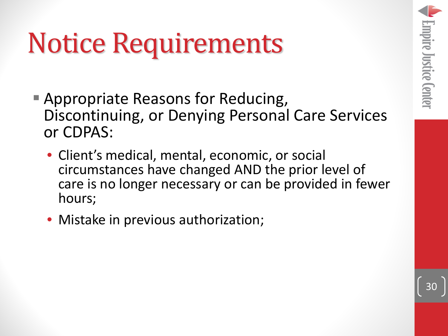### Notice Requirements

- Appropriate Reasons for Reducing, Discontinuing, or Denying Personal Care Services or CDPAS:
	- Client's medical, mental, economic, or social circumstances have changed AND the prior level of care is no longer necessary or can be provided in fewer hours;
	- Mistake in previous authorization;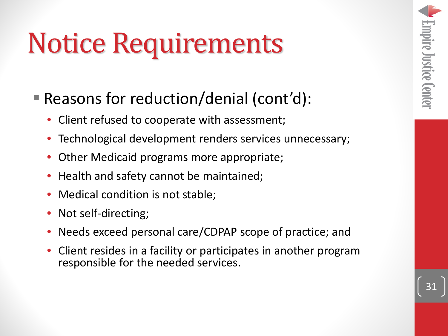### Notice Requirements

- Reasons for reduction/denial (cont'd):
	- Client refused to cooperate with assessment;
	- Technological development renders services unnecessary;
	- Other Medicaid programs more appropriate;
	- Health and safety cannot be maintained;
	- Medical condition is not stable;
	- Not self-directing;
	- Needs exceed personal care/CDPAP scope of practice; and
	- Client resides in a facility or participates in another program responsible for the needed services.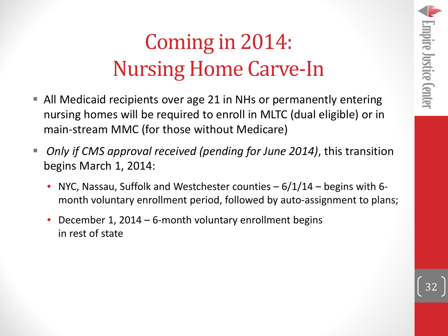#### Coming in 2014: Nursing Home Carve-In

- All Medicaid recipients over age 21 in NHs or permanently entering nursing homes will be required to enroll in MLTC (dual eligible) or in main-stream MMC (for those without Medicare)
- *Only if CMS approval received (pending for June 2014)*, this transition begins March 1, 2014:
	- NYC, Nassau, Suffolk and Westchester counties  $-6/1/14$  begins with 6month voluntary enrollment period, followed by auto-assignment to plans;
	- December 1, 2014 6-month voluntary enrollment begins in rest of state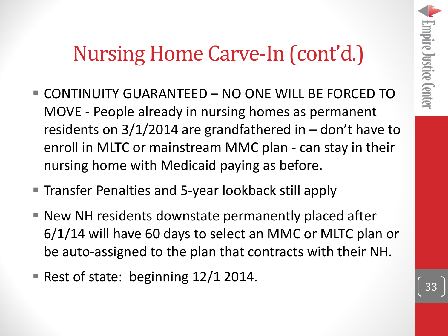#### Nursing Home Carve-In (cont'd.)

- CONTINUITY GUARANTEED NO ONE WILL BE FORCED TO MOVE - People already in nursing homes as permanent residents on 3/1/2014 are grandfathered in – don't have to enroll in MLTC or mainstream MMC plan - can stay in their nursing home with Medicaid paying as before.
- **Transfer Penalties and 5-year lookback still apply**
- New NH residents downstate permanently placed after 6/1/14 will have 60 days to select an MMC or MLTC plan or be auto-assigned to the plan that contracts with their NH.
- Rest of state: beginning  $12/1$  2014.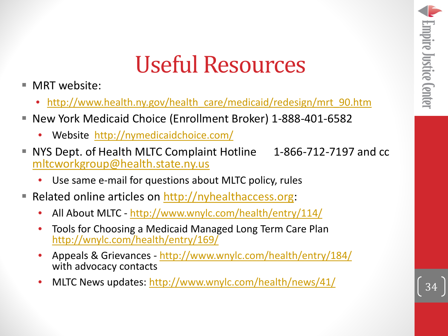#### Useful Resources

- MRT website:
	- [http://www.health.ny.gov/health\\_care/medicaid/redesign/mrt\\_90.htm](http://www.health.ny.gov/health_care/medicaid/redesign/mrt_90.htm)
- New York Medicaid Choice (Enrollment Broker) 1-888-401-6582
	- Website <http://nymedicaidchoice.com/>
- NYS Dept. of Health MLTC Complaint Hotline 1-866-712-7197 and cc [mltcworkgroup@health.state.ny.us](mailto:mltcworkgroup@health.state.ny.us)
	- Use same e-mail for questions about MLTC policy, rules
- Related online articles on [http://nyhealthaccess.org](http://nyhealthaccess.org/):
	- All About MLTC <http://www.wnylc.com/health/entry/114/>
	- [Tools for Choosing a Medicaid Manag](http://wnylc.com/health/entry/169/)ed Long Term Care Plan<br><http://wnylc.com/health/entry/169/>
	- Appeals & Grievances <http://www.wnylc.com/health/entry/184/> with advocacy contacts
	- MLTC News updates: <http://www.wnylc.com/health/news/41/>